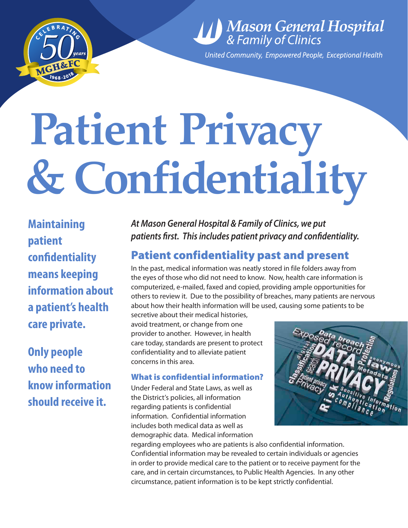

# *Mason General Hospital*<br>& Family of Clinics

United Community, Empowered People, Exceptional Health

# **Patient Privacy & Confidentiality**

**Maintaining patient confidentiality means keeping information about a patient's health care private.** 

**Only people who need to know information should receive it.**

*At Mason General Hospital & Family of Clinics, we put patients first. This includes patient privacy and confidentiality.*

### Patient confidentiality past and present

In the past, medical information was neatly stored in file folders away from the eyes of those who did not need to know. Now, health care information is computerized, e-mailed, faxed and copied, providing ample opportunities for others to review it. Due to the possibility of breaches, many patients are nervous about how their health information will be used, causing some patients to be

secretive about their medical histories, avoid treatment, or change from one provider to another. However, in health care today, standards are present to protect confidentiality and to alleviate patient concerns in this area.

#### What is confidential information?

Under Federal and State Laws, as well as the District's policies, all information regarding patients is confidential information. Confidential information includes both medical data as well as demographic data. Medical information



regarding employees who are patients is also confidential information. Confidential information may be revealed to certain individuals or agencies in order to provide medical care to the patient or to receive payment for the care, and in certain circumstances, to Public Health Agencies. In any other circumstance, patient information is to be kept strictly confidential.